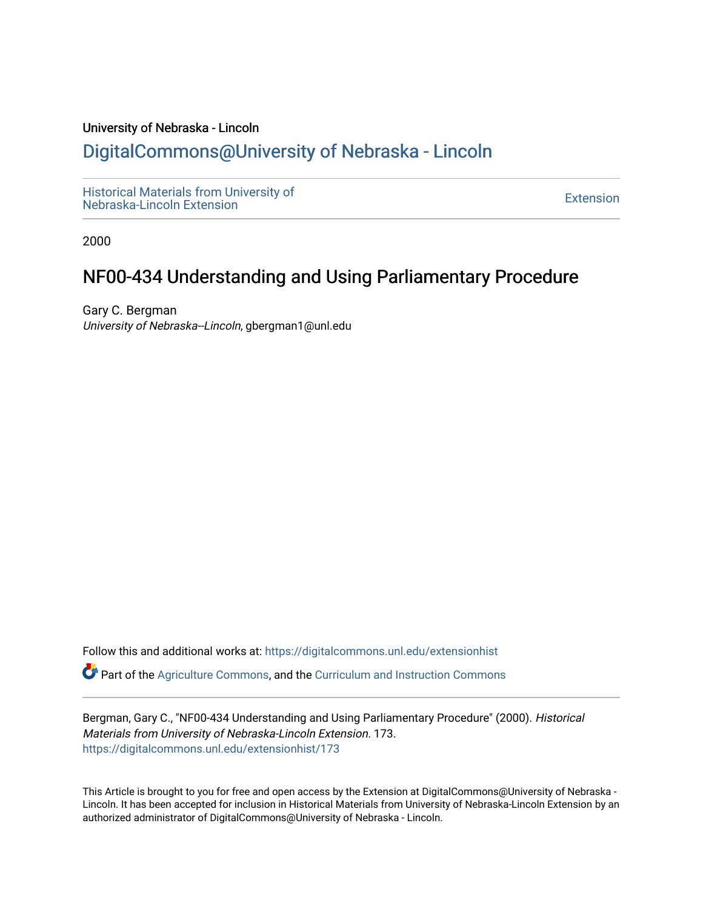#### University of Nebraska - Lincoln

## [DigitalCommons@University of Nebraska - Lincoln](https://digitalcommons.unl.edu/)

[Historical Materials from University of](https://digitalcommons.unl.edu/extensionhist)  nistorical Materials from Oniversity of the control of the control of the [Extension](https://digitalcommons.unl.edu/coop_extension) Extension extension of the<br>Nebraska-Lincoln Extension

2000

# NF00-434 Understanding and Using Parliamentary Procedure

Gary C. Bergman University of Nebraska--Lincoln, gbergman1@unl.edu

Follow this and additional works at: [https://digitalcommons.unl.edu/extensionhist](https://digitalcommons.unl.edu/extensionhist?utm_source=digitalcommons.unl.edu%2Fextensionhist%2F173&utm_medium=PDF&utm_campaign=PDFCoverPages) 

Part of the [Agriculture Commons](http://network.bepress.com/hgg/discipline/1076?utm_source=digitalcommons.unl.edu%2Fextensionhist%2F173&utm_medium=PDF&utm_campaign=PDFCoverPages), and the [Curriculum and Instruction Commons](http://network.bepress.com/hgg/discipline/786?utm_source=digitalcommons.unl.edu%2Fextensionhist%2F173&utm_medium=PDF&utm_campaign=PDFCoverPages) 

Bergman, Gary C., "NF00-434 Understanding and Using Parliamentary Procedure" (2000). Historical Materials from University of Nebraska-Lincoln Extension. 173. [https://digitalcommons.unl.edu/extensionhist/173](https://digitalcommons.unl.edu/extensionhist/173?utm_source=digitalcommons.unl.edu%2Fextensionhist%2F173&utm_medium=PDF&utm_campaign=PDFCoverPages) 

This Article is brought to you for free and open access by the Extension at DigitalCommons@University of Nebraska - Lincoln. It has been accepted for inclusion in Historical Materials from University of Nebraska-Lincoln Extension by an authorized administrator of DigitalCommons@University of Nebraska - Lincoln.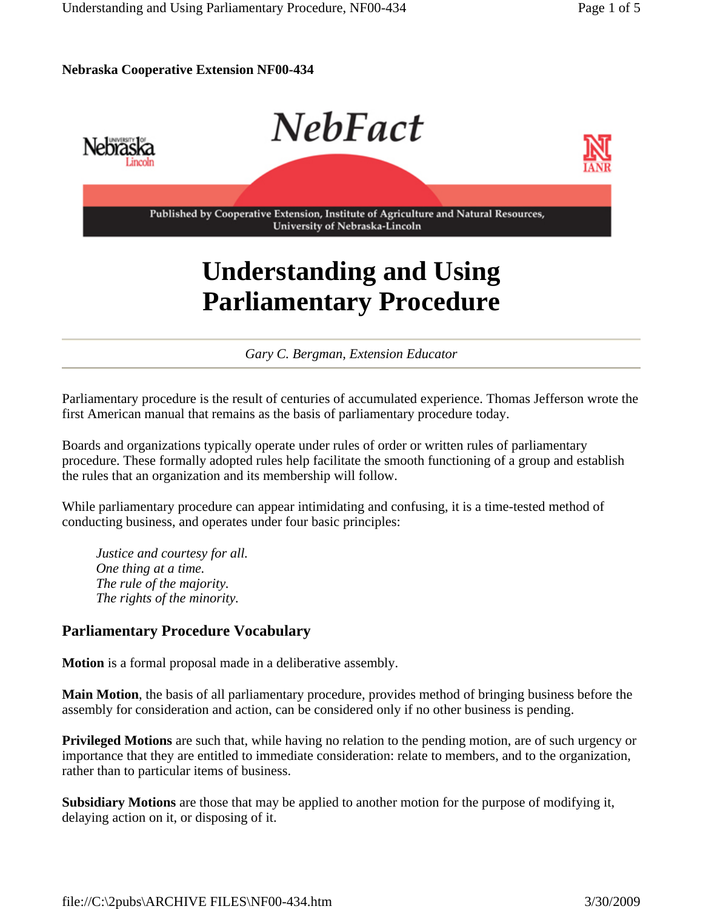#### **Nebraska Cooperative Extension NF00-434**



# **Understanding and Using Parliamentary Procedure**

*Gary C. Bergman, Extension Educator*

Parliamentary procedure is the result of centuries of accumulated experience. Thomas Jefferson wrote the first American manual that remains as the basis of parliamentary procedure today.

Boards and organizations typically operate under rules of order or written rules of parliamentary procedure. These formally adopted rules help facilitate the smooth functioning of a group and establish the rules that an organization and its membership will follow.

While parliamentary procedure can appear intimidating and confusing, it is a time-tested method of conducting business, and operates under four basic principles:

*Justice and courtesy for all. One thing at a time. The rule of the majority. The rights of the minority.*

#### **Parliamentary Procedure Vocabulary**

**Motion** is a formal proposal made in a deliberative assembly.

**Main Motion**, the basis of all parliamentary procedure, provides method of bringing business before the assembly for consideration and action, can be considered only if no other business is pending.

**Privileged Motions** are such that, while having no relation to the pending motion, are of such urgency or importance that they are entitled to immediate consideration: relate to members, and to the organization, rather than to particular items of business.

**Subsidiary Motions** are those that may be applied to another motion for the purpose of modifying it, delaying action on it, or disposing of it.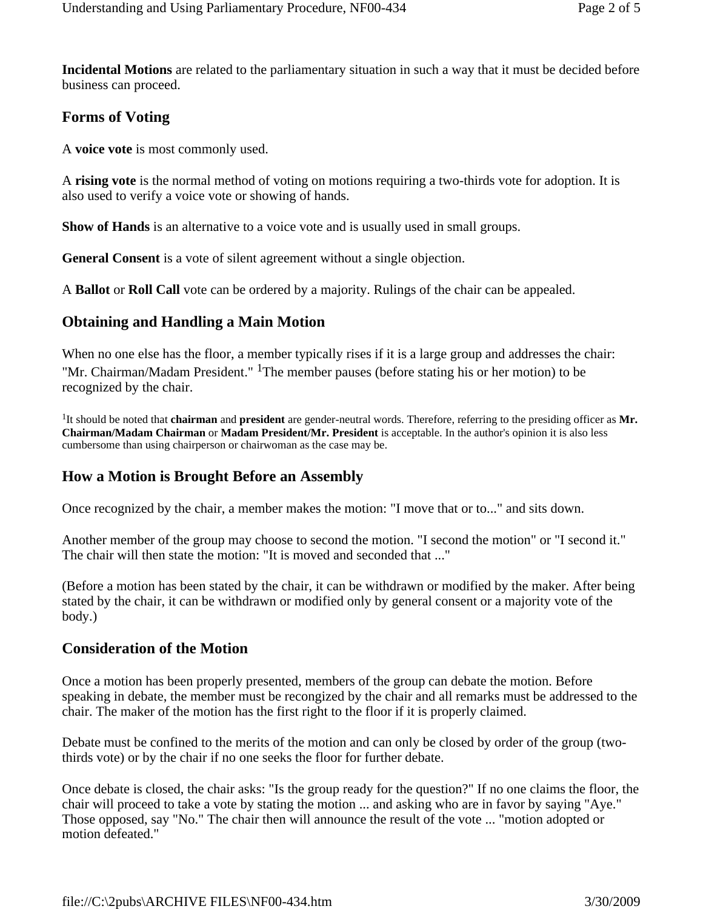**Incidental Motions** are related to the parliamentary situation in such a way that it must be decided before business can proceed.

#### **Forms of Voting**

A **voice vote** is most commonly used.

A **rising vote** is the normal method of voting on motions requiring a two-thirds vote for adoption. It is also used to verify a voice vote or showing of hands.

**Show of Hands** is an alternative to a voice vote and is usually used in small groups.

**General Consent** is a vote of silent agreement without a single objection.

A **Ballot** or **Roll Call** vote can be ordered by a majority. Rulings of the chair can be appealed.

#### **Obtaining and Handling a Main Motion**

When no one else has the floor, a member typically rises if it is a large group and addresses the chair: "Mr. Chairman/Madam President." <sup>1</sup>The member pauses (before stating his or her motion) to be recognized by the chair.

1It should be noted that **chairman** and **president** are gender-neutral words. Therefore, referring to the presiding officer as **Mr. Chairman/Madam Chairman** or **Madam President/Mr. President** is acceptable. In the author's opinion it is also less cumbersome than using chairperson or chairwoman as the case may be.

#### **How a Motion is Brought Before an Assembly**

Once recognized by the chair, a member makes the motion: "I move that or to..." and sits down.

Another member of the group may choose to second the motion. "I second the motion" or "I second it." The chair will then state the motion: "It is moved and seconded that ..."

(Before a motion has been stated by the chair, it can be withdrawn or modified by the maker. After being stated by the chair, it can be withdrawn or modified only by general consent or a majority vote of the body.)

#### **Consideration of the Motion**

Once a motion has been properly presented, members of the group can debate the motion. Before speaking in debate, the member must be recongized by the chair and all remarks must be addressed to the chair. The maker of the motion has the first right to the floor if it is properly claimed.

Debate must be confined to the merits of the motion and can only be closed by order of the group (twothirds vote) or by the chair if no one seeks the floor for further debate.

Once debate is closed, the chair asks: "Is the group ready for the question?" If no one claims the floor, the chair will proceed to take a vote by stating the motion ... and asking who are in favor by saying "Aye." Those opposed, say "No." The chair then will announce the result of the vote ... "motion adopted or motion defeated."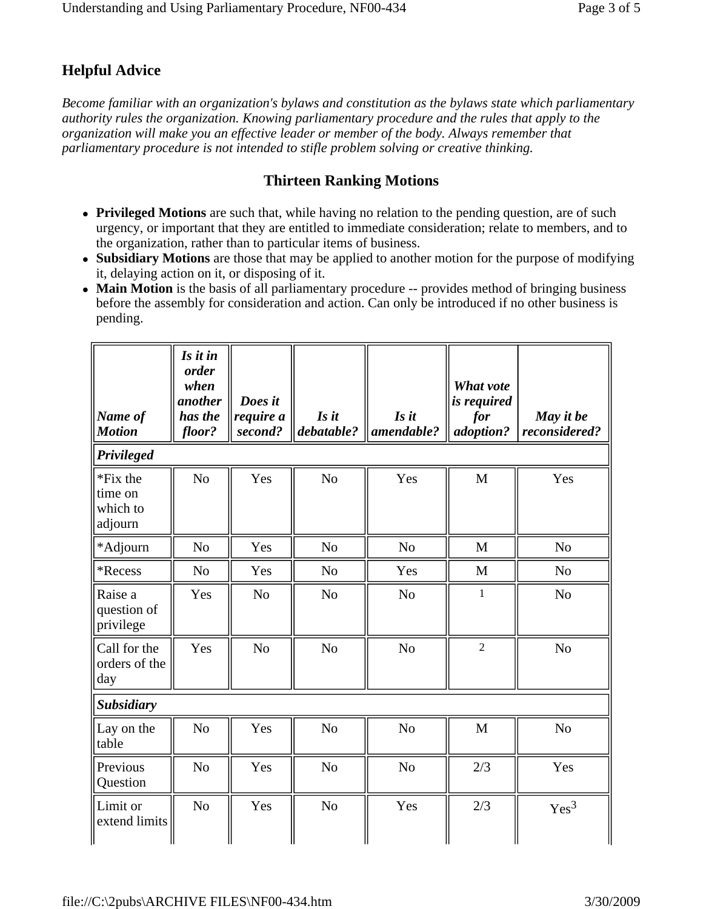### **Helpful Advice**

*Become familiar with an organization's bylaws and constitution as the bylaws state which parliamentary authority rules the organization. Knowing parliamentary procedure and the rules that apply to the organization will make you an effective leader or member of the body. Always remember that parliamentary procedure is not intended to stifle problem solving or creative thinking.*

#### **Thirteen Ranking Motions**

- **Privileged Motions** are such that, while having no relation to the pending question, are of such urgency, or important that they are entitled to immediate consideration; relate to members, and to the organization, rather than to particular items of business.
- Subsidiary Motions are those that may be applied to another motion for the purpose of modifying it, delaying action on it, or disposing of it.
- Main Motion is the basis of all parliamentary procedure -- provides method of bringing business before the assembly for consideration and action. Can only be introduced if no other business is pending.

| Name of<br><b>Motion</b>                   | Is it in<br>order<br>when<br>another<br>has the<br>floor? | Does it<br>require a<br>second? | Is it<br>debatable? | Is it<br>amendable? | What vote<br>is required<br>for<br>adoption? | May it be<br>reconsidered? |  |  |
|--------------------------------------------|-----------------------------------------------------------|---------------------------------|---------------------|---------------------|----------------------------------------------|----------------------------|--|--|
| Privileged                                 |                                                           |                                 |                     |                     |                                              |                            |  |  |
| *Fix the<br>time on<br>which to<br>adjourn | N <sub>o</sub>                                            | Yes                             | N <sub>o</sub>      | Yes                 | M                                            | Yes                        |  |  |
| *Adjourn                                   | N <sub>o</sub>                                            | Yes                             | N <sub>o</sub>      | N <sub>o</sub>      | M                                            | N <sub>o</sub>             |  |  |
| *Recess                                    | N <sub>o</sub>                                            | Yes                             | N <sub>o</sub>      | Yes                 | M                                            | N <sub>o</sub>             |  |  |
| Raise a<br>question of<br>privilege        | Yes                                                       | N <sub>o</sub>                  | N <sub>o</sub>      | N <sub>o</sub>      | $\mathbf{1}$                                 | N <sub>o</sub>             |  |  |
| Call for the<br>orders of the<br>day       | Yes                                                       | N <sub>o</sub>                  | N <sub>o</sub>      | N <sub>o</sub>      | $\overline{2}$                               | N <sub>o</sub>             |  |  |
| <b>Subsidiary</b>                          |                                                           |                                 |                     |                     |                                              |                            |  |  |
| Lay on the<br>table                        | N <sub>o</sub>                                            | Yes                             | N <sub>o</sub>      | N <sub>o</sub>      | M                                            | N <sub>o</sub>             |  |  |
| Previous<br>Question                       | N <sub>o</sub>                                            | Yes                             | N <sub>o</sub>      | N <sub>o</sub>      | 2/3                                          | Yes                        |  |  |
| Limit or<br>extend limits                  | N <sub>o</sub>                                            | Yes                             | N <sub>o</sub>      | Yes                 | 2/3                                          | Yes <sup>3</sup>           |  |  |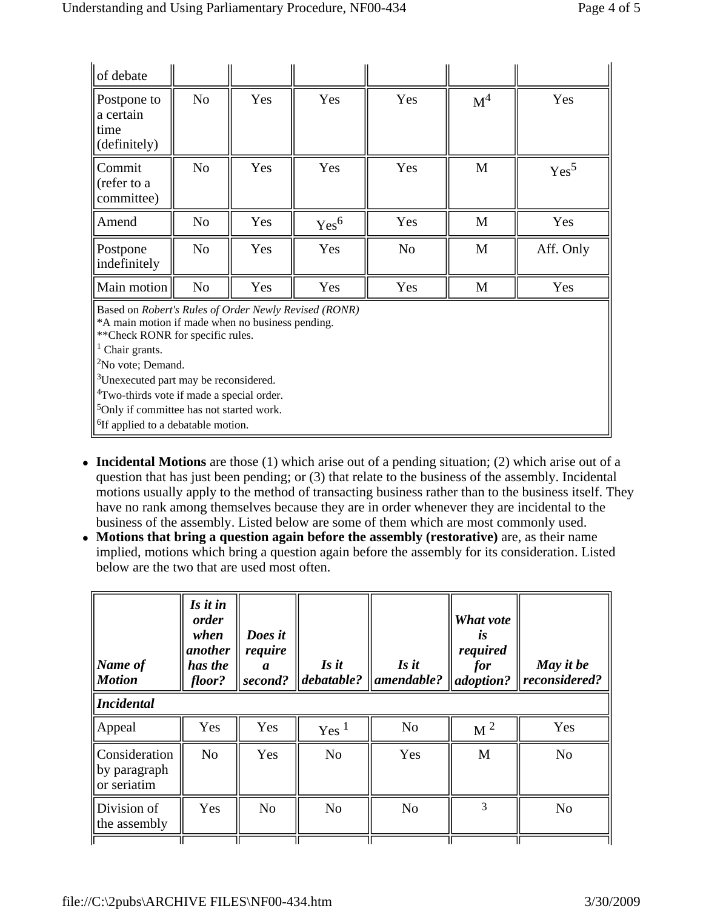| of debate                                                                                                                                                                                                                                                                                                                                                                                                                    |                |     |                  |                |                |                  |
|------------------------------------------------------------------------------------------------------------------------------------------------------------------------------------------------------------------------------------------------------------------------------------------------------------------------------------------------------------------------------------------------------------------------------|----------------|-----|------------------|----------------|----------------|------------------|
| Postpone to<br>a certain<br>time<br>(definitely)                                                                                                                                                                                                                                                                                                                                                                             | N <sub>o</sub> | Yes | Yes              | Yes            | M <sup>4</sup> | Yes              |
| Commit<br>(refer to a<br>committee)                                                                                                                                                                                                                                                                                                                                                                                          | N <sub>o</sub> | Yes | Yes              | Yes            | M              | Yes <sup>5</sup> |
| Amend                                                                                                                                                                                                                                                                                                                                                                                                                        | N <sub>0</sub> | Yes | Yes <sup>6</sup> | Yes            | M              | Yes              |
| Postpone<br>indefinitely                                                                                                                                                                                                                                                                                                                                                                                                     | N <sub>o</sub> | Yes | Yes              | N <sub>o</sub> | M              | Aff. Only        |
| Main motion                                                                                                                                                                                                                                                                                                                                                                                                                  | N <sub>0</sub> | Yes | Yes              | Yes            | M              | Yes              |
| Based on Robert's Rules of Order Newly Revised (RONR)<br>*A main motion if made when no business pending.<br>** Check RONR for specific rules.<br><sup>1</sup> Chair grants.<br>$2$ No vote; Demand.<br><sup>3</sup> Unexecuted part may be reconsidered.<br><sup>4</sup> Two-thirds vote if made a special order.<br><sup>5</sup> Only if committee has not started work.<br><sup>6</sup> If applied to a debatable motion. |                |     |                  |                |                |                  |

- **Incidental Motions** are those (1) which arise out of a pending situation; (2) which arise out of a question that has just been pending; or (3) that relate to the business of the assembly. Incidental motions usually apply to the method of transacting business rather than to the business itself. They have no rank among themselves because they are in order whenever they are incidental to the business of the assembly. Listed below are some of them which are most commonly used.
- Motions that bring a question again before the assembly (restorative) are, as their name implied, motions which bring a question again before the assembly for its consideration. Listed below are the two that are used most often.

| $ Name\ of$<br><i>Motion</i><br><b>Incidental</b> | Is it in<br><i>order</i><br>when<br>another<br>has the<br>floor? | Does it<br>require<br>a<br>second? | Is it<br>$\parallel$ debatable? | $\mathbf{I}$ s it<br>$ $ amendable? | What vote<br>LS<br>required<br>for<br>adoption? | May it be<br> reconsidered? |
|---------------------------------------------------|------------------------------------------------------------------|------------------------------------|---------------------------------|-------------------------------------|-------------------------------------------------|-----------------------------|
| Appeal                                            | Yes                                                              | Yes                                | Yes <sup>1</sup>                | N <sub>o</sub>                      | $\mathrm{M}$ <sup>2</sup>                       | Yes                         |
| Consideration<br>by paragraph<br>or seriatim      | N <sub>o</sub>                                                   | Yes                                | N <sub>o</sub>                  | Yes                                 | M                                               | N <sub>o</sub>              |
| Division of<br>the assembly                       | Yes                                                              | N <sub>o</sub>                     | N <sub>o</sub>                  | N <sub>o</sub>                      | 3                                               | N <sub>0</sub>              |